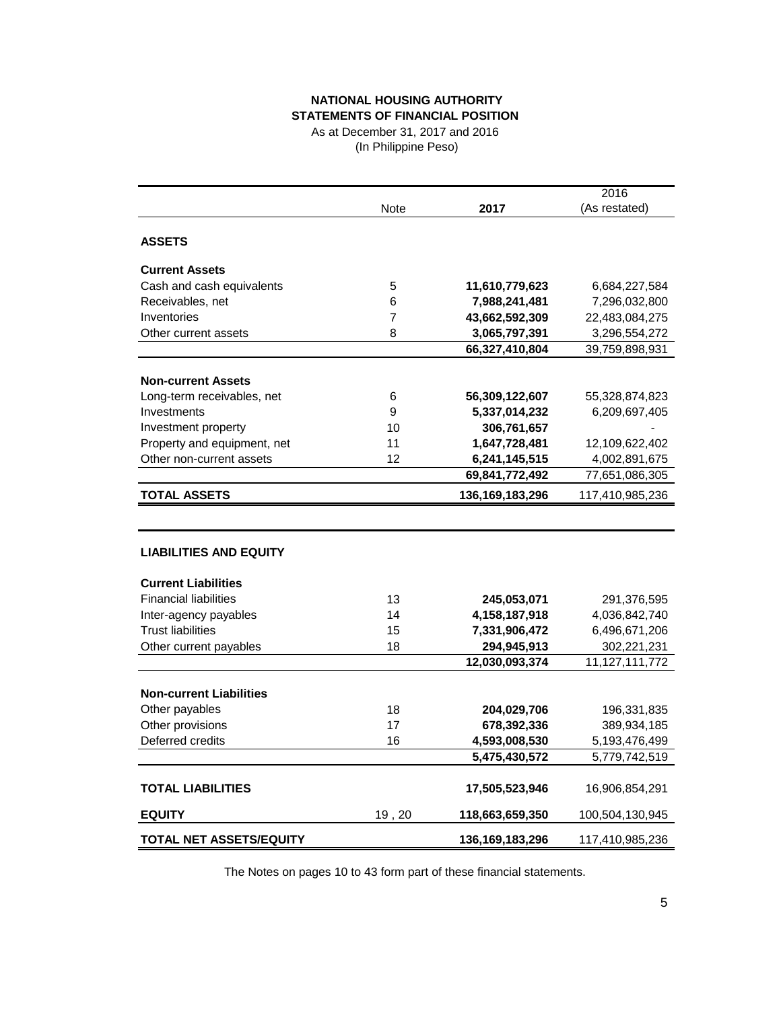# **NATIONAL HOUSING AUTHORITY STATEMENTS OF FINANCIAL POSITION**

As at December 31, 2017 and 2016 (In Philippine Peso)

|                                |       |                 | 2016            |
|--------------------------------|-------|-----------------|-----------------|
|                                | Note  | 2017            | (As restated)   |
|                                |       |                 |                 |
| <b>ASSETS</b>                  |       |                 |                 |
| <b>Current Assets</b>          |       |                 |                 |
| Cash and cash equivalents      | 5     | 11,610,779,623  | 6,684,227,584   |
| Receivables, net               | 6     | 7,988,241,481   | 7,296,032,800   |
| Inventories                    | 7     | 43,662,592,309  | 22,483,084,275  |
| Other current assets           | 8     | 3,065,797,391   | 3,296,554,272   |
|                                |       | 66,327,410,804  | 39,759,898,931  |
|                                |       |                 |                 |
| <b>Non-current Assets</b>      |       |                 |                 |
| Long-term receivables, net     | 6     | 56,309,122,607  | 55,328,874,823  |
| Investments                    | 9     | 5,337,014,232   | 6,209,697,405   |
| Investment property            | 10    | 306,761,657     |                 |
| Property and equipment, net    | 11    | 1,647,728,481   | 12,109,622,402  |
| Other non-current assets       | 12    | 6,241,145,515   | 4,002,891,675   |
|                                |       | 69,841,772,492  | 77,651,086,305  |
| <b>TOTAL ASSETS</b>            |       | 136,169,183,296 | 117,410,985,236 |
|                                |       |                 |                 |
| <b>LIABILITIES AND EQUITY</b>  |       |                 |                 |
| <b>Current Liabilities</b>     |       |                 |                 |
| <b>Financial liabilities</b>   | 13    | 245,053,071     | 291,376,595     |
| Inter-agency payables          | 14    | 4,158,187,918   | 4,036,842,740   |
| <b>Trust liabilities</b>       | 15    | 7,331,906,472   | 6,496,671,206   |
| Other current payables         | 18    | 294,945,913     | 302,221,231     |
|                                |       | 12,030,093,374  | 11,127,111,772  |
|                                |       |                 |                 |
| <b>Non-current Liabilities</b> |       |                 |                 |
| Other payables                 | 18    | 204,029,706     | 196,331,835     |
| Other provisions               | 17    | 678,392,336     | 389,934,185     |
| Deferred credits               | 16    | 4,593,008,530   | 5,193,476,499   |
|                                |       | 5,475,430,572   | 5,779,742,519   |
| <b>TOTAL LIABILITIES</b>       |       | 17,505,523,946  | 16,906,854,291  |
| <b>EQUITY</b>                  | 19,20 | 118,663,659,350 | 100,504,130,945 |
| <b>TOTAL NET ASSETS/EQUITY</b> |       | 136,169,183,296 | 117,410,985,236 |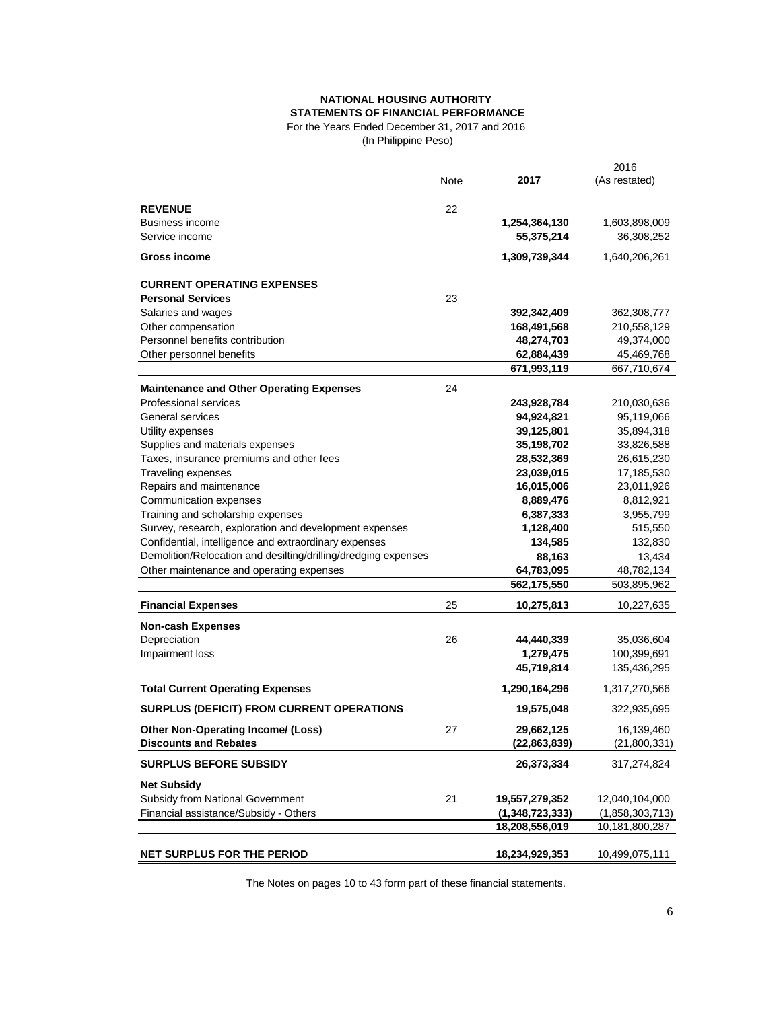## **NATIONAL HOUSING AUTHORITY STATEMENTS OF FINANCIAL PERFORMANCE**

For the Years Ended December 31, 2017 and 2016

| (In Philippine Peso) |  |
|----------------------|--|
|----------------------|--|

|                                                                |      |                 | 2016            |
|----------------------------------------------------------------|------|-----------------|-----------------|
|                                                                | Note | 2017            | (As restated)   |
| <b>REVENUE</b>                                                 | 22   |                 |                 |
| Business income                                                |      | 1,254,364,130   | 1,603,898,009   |
| Service income                                                 |      | 55,375,214      | 36,308,252      |
|                                                                |      |                 |                 |
| <b>Gross income</b>                                            |      | 1,309,739,344   | 1,640,206,261   |
| <b>CURRENT OPERATING EXPENSES</b>                              |      |                 |                 |
| <b>Personal Services</b>                                       | 23   |                 |                 |
| Salaries and wages                                             |      | 392,342,409     | 362,308,777     |
| Other compensation                                             |      | 168,491,568     | 210,558,129     |
| Personnel benefits contribution                                |      | 48,274,703      | 49,374,000      |
| Other personnel benefits                                       |      | 62,884,439      | 45,469,768      |
|                                                                |      | 671,993,119     | 667,710,674     |
| <b>Maintenance and Other Operating Expenses</b>                | 24   |                 |                 |
| Professional services                                          |      | 243,928,784     | 210,030,636     |
| General services                                               |      | 94,924,821      | 95,119,066      |
| Utility expenses                                               |      | 39,125,801      | 35,894,318      |
| Supplies and materials expenses                                |      | 35,198,702      | 33,826,588      |
| Taxes, insurance premiums and other fees                       |      | 28,532,369      | 26,615,230      |
| Traveling expenses                                             |      | 23,039,015      | 17,185,530      |
| Repairs and maintenance                                        |      | 16,015,006      | 23,011,926      |
| Communication expenses                                         |      | 8,889,476       | 8,812,921       |
| Training and scholarship expenses                              |      | 6,387,333       | 3,955,799       |
| Survey, research, exploration and development expenses         |      | 1,128,400       | 515,550         |
| Confidential, intelligence and extraordinary expenses          |      | 134,585         | 132,830         |
| Demolition/Relocation and desilting/drilling/dredging expenses |      | 88,163          | 13,434          |
| Other maintenance and operating expenses                       |      | 64,783,095      | 48,782,134      |
|                                                                |      | 562,175,550     | 503,895,962     |
| <b>Financial Expenses</b>                                      | 25   | 10,275,813      | 10,227,635      |
| <b>Non-cash Expenses</b>                                       |      |                 |                 |
| Depreciation                                                   | 26   | 44,440,339      | 35,036,604      |
| Impairment loss                                                |      | 1,279,475       | 100,399,691     |
|                                                                |      | 45,719,814      | 135,436,295     |
| <b>Total Current Operating Expenses</b>                        |      | 1,290,164,296   | 1,317,270,566   |
| <b>SURPLUS (DEFICIT) FROM CURRENT OPERATIONS</b>               |      | 19,575,048      | 322,935,695     |
| Other Non-Operating Income/ (Loss)                             | 27   | 29,662,125      | 16,139,460      |
| <b>Discounts and Rebates</b>                                   |      | (22, 863, 839)  | (21,800,331)    |
|                                                                |      |                 |                 |
| <b>SURPLUS BEFORE SUBSIDY</b>                                  |      | 26,373,334      | 317,274,824     |
| <b>Net Subsidy</b>                                             |      |                 |                 |
| Subsidy from National Government                               | 21   | 19,557,279,352  | 12,040,104,000  |
| Financial assistance/Subsidy - Others                          |      | (1,348,723,333) | (1,858,303,713) |
|                                                                |      | 18,208,556,019  | 10,181,800,287  |
| NET SURPLUS FOR THE PERIOD                                     |      | 18,234,929,353  | 10,499,075,111  |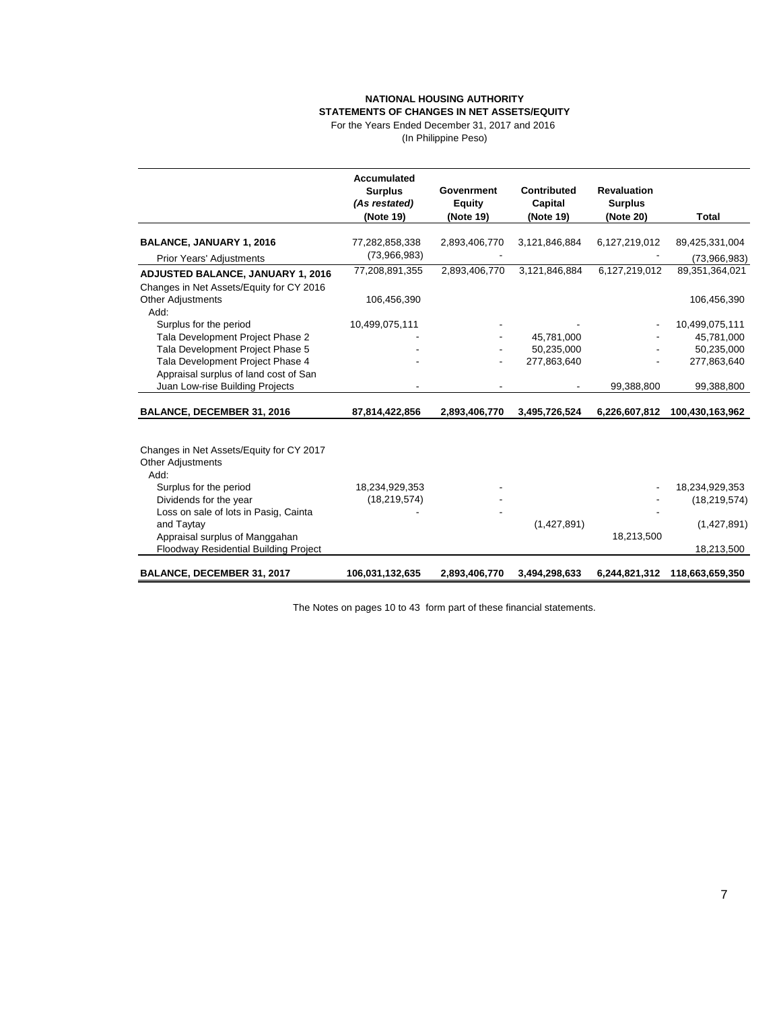#### **NATIONAL HOUSING AUTHORITY STATEMENTS OF CHANGES IN NET ASSETS/EQUITY**

For the Years Ended December 31, 2017 and 2016 (In Philippine Peso)

|                                                                                | <b>Accumulated</b><br><b>Surplus</b><br>(As restated) | Govenrment<br><b>Equity</b> | Contributed<br>Capital | <b>Revaluation</b><br><b>Surplus</b> |                 |
|--------------------------------------------------------------------------------|-------------------------------------------------------|-----------------------------|------------------------|--------------------------------------|-----------------|
|                                                                                | (Note 19)                                             | (Note 19)                   | (Note 19)              | (Note 20)                            | Total           |
| <b>BALANCE, JANUARY 1, 2016</b>                                                | 77,282,858,338                                        | 2,893,406,770               | 3,121,846,884          | 6,127,219,012                        | 89,425,331,004  |
| Prior Years' Adjustments                                                       | (73,966,983)                                          |                             |                        |                                      | (73,966,983)    |
| <b>ADJUSTED BALANCE, JANUARY 1, 2016</b>                                       | 77,208,891,355                                        | 2,893,406,770               | 3,121,846,884          | 6,127,219,012                        | 89,351,364,021  |
| Changes in Net Assets/Equity for CY 2016                                       |                                                       |                             |                        |                                      |                 |
| <b>Other Adjustments</b><br>Add:                                               | 106,456,390                                           |                             |                        |                                      | 106,456,390     |
| Surplus for the period                                                         | 10,499,075,111                                        |                             |                        |                                      | 10,499,075,111  |
| Tala Development Project Phase 2                                               |                                                       |                             | 45,781,000             |                                      | 45,781,000      |
| Tala Development Project Phase 5                                               |                                                       |                             | 50,235,000             |                                      | 50,235,000      |
| Tala Development Project Phase 4                                               |                                                       |                             | 277,863,640            |                                      | 277,863,640     |
| Appraisal surplus of land cost of San                                          |                                                       |                             |                        |                                      |                 |
| Juan Low-rise Building Projects                                                |                                                       |                             |                        | 99,388,800                           | 99,388,800      |
| <b>BALANCE, DECEMBER 31, 2016</b>                                              | 87,814,422,856                                        | 2,893,406,770               | 3,495,726,524          | 6,226,607,812                        | 100,430,163,962 |
| Changes in Net Assets/Equity for CY 2017<br><b>Other Adjustments</b><br>Add:   |                                                       |                             |                        |                                      |                 |
| Surplus for the period                                                         | 18,234,929,353                                        |                             |                        |                                      | 18,234,929,353  |
| Dividends for the year                                                         | (18, 219, 574)                                        |                             |                        |                                      | (18, 219, 574)  |
| Loss on sale of lots in Pasig, Cainta                                          |                                                       |                             |                        |                                      |                 |
| and Taytay                                                                     |                                                       |                             | (1,427,891)            |                                      | (1,427,891)     |
| Appraisal surplus of Manggahan<br><b>Floodway Residential Building Project</b> |                                                       |                             |                        | 18,213,500                           | 18,213,500      |
| BALANCE, DECEMBER 31, 2017                                                     | 106,031,132,635                                       | 2,893,406,770               | 3,494,298,633          | 6,244,821,312                        | 118,663,659,350 |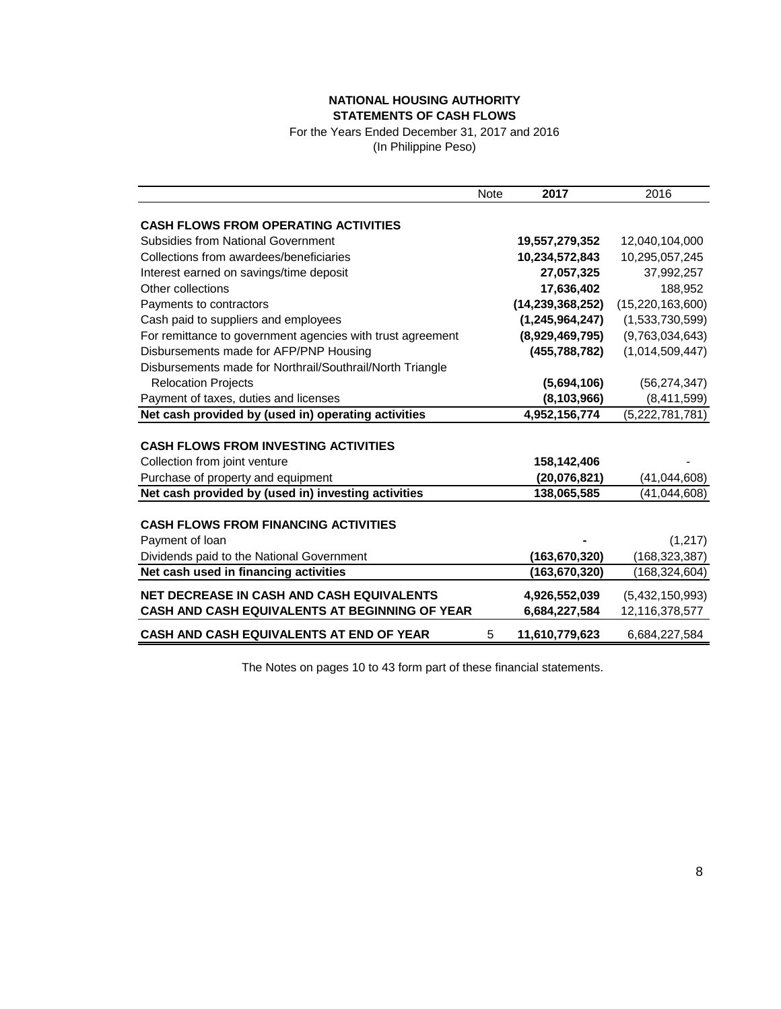## **NATIONAL HOUSING AUTHORITY STATEMENTS OF CASH FLOWS**

For the Years Ended December 31, 2017 and 2016 (In Philippine Peso)

|                                                            | <b>Note</b> | 2017                | 2016                |
|------------------------------------------------------------|-------------|---------------------|---------------------|
|                                                            |             |                     |                     |
| <b>CASH FLOWS FROM OPERATING ACTIVITIES</b>                |             |                     |                     |
| <b>Subsidies from National Government</b>                  |             | 19,557,279,352      | 12,040,104,000      |
| Collections from awardees/beneficiaries                    |             | 10,234,572,843      | 10,295,057,245      |
| Interest earned on savings/time deposit                    |             | 27,057,325          | 37,992,257          |
| Other collections                                          |             | 17,636,402          | 188,952             |
| Payments to contractors                                    |             | (14, 239, 368, 252) | (15, 220, 163, 600) |
| Cash paid to suppliers and employees                       |             | (1, 245, 964, 247)  | (1,533,730,599)     |
| For remittance to government agencies with trust agreement |             | (8,929,469,795)     | (9,763,034,643)     |
| Disbursements made for AFP/PNP Housing                     |             | (455, 788, 782)     | (1,014,509,447)     |
| Disbursements made for Northrail/Southrail/North Triangle  |             |                     |                     |
| <b>Relocation Projects</b>                                 |             | (5,694,106)         | (56, 274, 347)      |
| Payment of taxes, duties and licenses                      |             | (8, 103, 966)       | (8,411,599)         |
| Net cash provided by (used in) operating activities        |             | 4,952,156,774       | (5,222,781,781)     |
|                                                            |             |                     |                     |
| <b>CASH FLOWS FROM INVESTING ACTIVITIES</b>                |             |                     |                     |
| Collection from joint venture                              |             | 158,142,406         |                     |
| Purchase of property and equipment                         |             | (20,076,821)        | (41, 044, 608)      |
| Net cash provided by (used in) investing activities        |             | 138,065,585         | (41, 044, 608)      |
|                                                            |             |                     |                     |
| <b>CASH FLOWS FROM FINANCING ACTIVITIES</b>                |             |                     |                     |
| Payment of loan                                            |             |                     | (1, 217)            |
| Dividends paid to the National Government                  |             | (163, 670, 320)     | (168, 323, 387)     |
| Net cash used in financing activities                      |             | (163, 670, 320)     | (168, 324, 604)     |
| <b>NET DECREASE IN CASH AND CASH EQUIVALENTS</b>           |             | 4,926,552,039       | (5,432,150,993)     |
| CASH AND CASH EQUIVALENTS AT BEGINNING OF YEAR             |             | 6,684,227,584       | 12,116,378,577      |
| <b>CASH AND CASH EQUIVALENTS AT END OF YEAR</b>            | 5           | 11,610,779,623      | 6,684,227,584       |